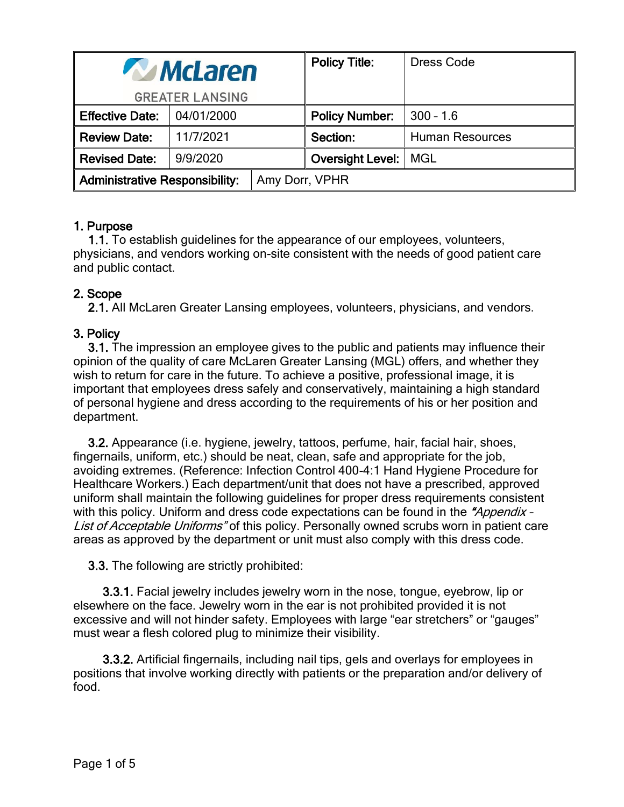| <b>WINCLATER</b>                      |            |                | <b>Policy Title:</b>          | <b>Dress Code</b>      |
|---------------------------------------|------------|----------------|-------------------------------|------------------------|
| <b>GREATER LANSING</b>                |            |                |                               |                        |
| <b>Effective Date:</b>                | 04/01/2000 |                | <b>Policy Number:</b>         | $300 - 1.6$            |
| <b>Review Date:</b>                   | 11/7/2021  |                | Section:                      | <b>Human Resources</b> |
| <b>Revised Date:</b>                  | 9/9/2020   |                | <b>Oversight Level:   MGL</b> |                        |
| <b>Administrative Responsibility:</b> |            | Amy Dorr, VPHR |                               |                        |

# 1. Purpose

1.1. To establish guidelines for the appearance of our employees, volunteers, physicians, and vendors working on-site consistent with the needs of good patient care and public contact.

# 2. Scope

2.1. All McLaren Greater Lansing employees, volunteers, physicians, and vendors.

# 3. Policy

3.1. The impression an employee gives to the public and patients may influence their opinion of the quality of care McLaren Greater Lansing (MGL) offers, and whether they wish to return for care in the future. To achieve a positive, professional image, it is important that employees dress safely and conservatively, maintaining a high standard of personal hygiene and dress according to the requirements of his or her position and department.

3.2. Appearance (i.e. hygiene, jewelry, tattoos, perfume, hair, facial hair, shoes, fingernails, uniform, etc.) should be neat, clean, safe and appropriate for the job, avoiding extremes. (Reference: Infection Control 400-4:1 Hand Hygiene Procedure for Healthcare Workers.) Each department/unit that does not have a prescribed, approved uniform shall maintain the following guidelines for proper dress requirements consistent with this policy. Uniform and dress code expectations can be found in the "Appendix -List of Acceptable Uniforms" of this policy. Personally owned scrubs worn in patient care areas as approved by the department or unit must also comply with this dress code.

3.3. The following are strictly prohibited:

3.3.1. Facial jewelry includes jewelry worn in the nose, tongue, eyebrow, lip or elsewhere on the face. Jewelry worn in the ear is not prohibited provided it is not excessive and will not hinder safety. Employees with large "ear stretchers" or "gauges" must wear a flesh colored plug to minimize their visibility.

3.3.2. Artificial fingernails, including nail tips, gels and overlays for employees in positions that involve working directly with patients or the preparation and/or delivery of food.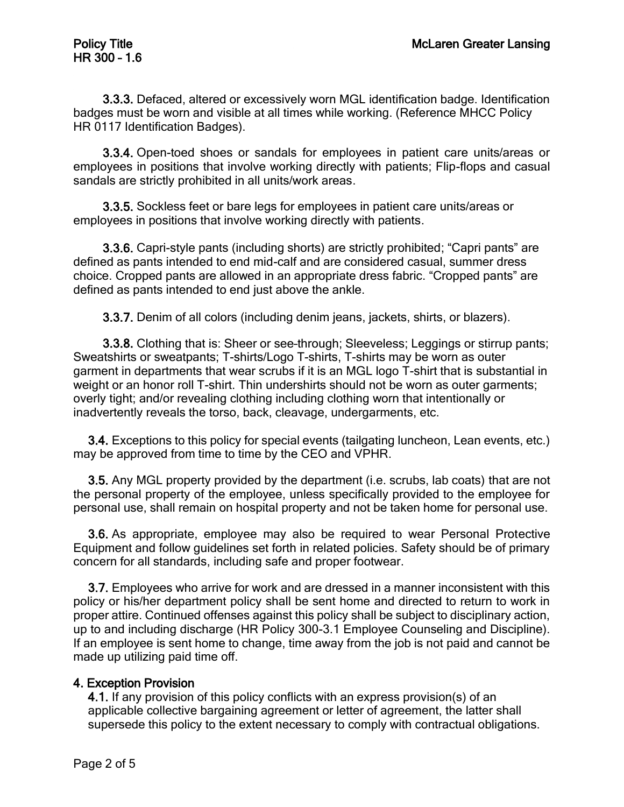3.3.3. Defaced, altered or excessively worn MGL identification badge. Identification badges must be worn and visible at all times while working. (Reference MHCC Policy HR 0117 Identification Badges).

3.3.4. Open-toed shoes or sandals for employees in patient care units/areas or employees in positions that involve working directly with patients; Flip-flops and casual sandals are strictly prohibited in all units/work areas.

3.3.5. Sockless feet or bare legs for employees in patient care units/areas or employees in positions that involve working directly with patients.

3.3.6. Capri-style pants (including shorts) are strictly prohibited; "Capri pants" are defined as pants intended to end mid-calf and are considered casual, summer dress choice. Cropped pants are allowed in an appropriate dress fabric. "Cropped pants" are defined as pants intended to end just above the ankle.

3.3.7. Denim of all colors (including denim jeans, jackets, shirts, or blazers).

3.3.8. Clothing that is: Sheer or see–through; Sleeveless; Leggings or stirrup pants; Sweatshirts or sweatpants; T-shirts/Logo T-shirts, T-shirts may be worn as outer garment in departments that wear scrubs if it is an MGL logo T-shirt that is substantial in weight or an honor roll T-shirt. Thin undershirts should not be worn as outer garments; overly tight; and/or revealing clothing including clothing worn that intentionally or inadvertently reveals the torso, back, cleavage, undergarments, etc.

3.4. Exceptions to this policy for special events (tailgating luncheon, Lean events, etc.) may be approved from time to time by the CEO and VPHR.

3.5. Any MGL property provided by the department (i.e. scrubs, lab coats) that are not the personal property of the employee, unless specifically provided to the employee for personal use, shall remain on hospital property and not be taken home for personal use.

3.6. As appropriate, employee may also be required to wear Personal Protective Equipment and follow guidelines set forth in related policies. Safety should be of primary concern for all standards, including safe and proper footwear.

3.7. Employees who arrive for work and are dressed in a manner inconsistent with this policy or his/her department policy shall be sent home and directed to return to work in proper attire. Continued offenses against this policy shall be subject to disciplinary action, up to and including discharge (HR Policy 300-3.1 Employee Counseling and Discipline). If an employee is sent home to change, time away from the job is not paid and cannot be made up utilizing paid time off.

# 4. Exception Provision

4.1. If any provision of this policy conflicts with an express provision(s) of an applicable collective bargaining agreement or letter of agreement, the latter shall supersede this policy to the extent necessary to comply with contractual obligations.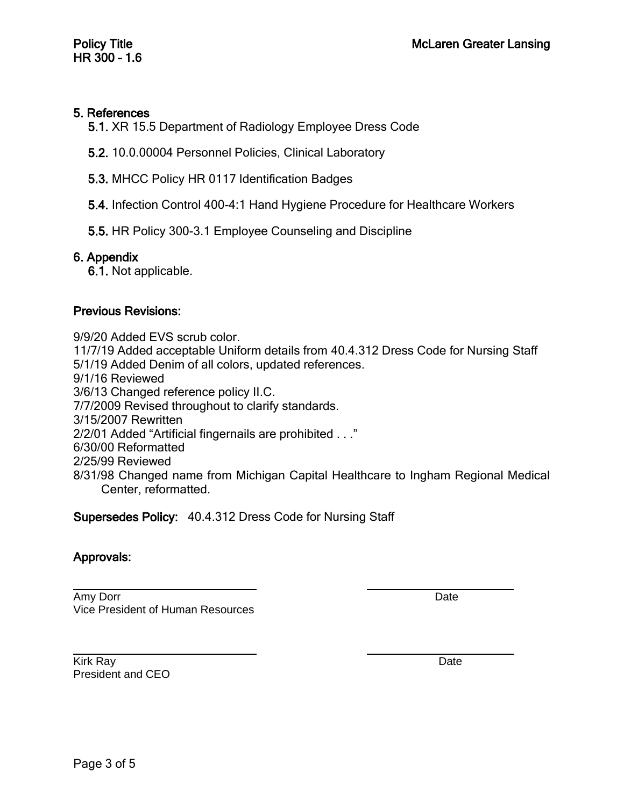### 5. References

5.1. XR 15.5 Department of Radiology Employee Dress Code

- 5.2. 10.0.00004 Personnel Policies, Clinical Laboratory
- 5.3. MHCC Policy HR 0117 Identification Badges
- 5.4. Infection Control 400-4:1 Hand Hygiene Procedure for Healthcare Workers
- 5.5. HR Policy 300-3.1 Employee Counseling and Discipline

#### 6. Appendix

6.1. Not applicable.

#### Previous Revisions:

9/9/20 Added EVS scrub color. 11/7/19 Added acceptable Uniform details from 40.4.312 Dress Code for Nursing Staff 5/1/19 Added Denim of all colors, updated references. 9/1/16 Reviewed 3/6/13 Changed reference policy II.C. 7/7/2009 Revised throughout to clarify standards. 3/15/2007 Rewritten 2/2/01 Added "Artificial fingernails are prohibited . . ." 6/30/00 Reformatted 2/25/99 Reviewed 8/31/98 Changed name from Michigan Capital Healthcare to Ingham Regional Medical Center, reformatted.

Supersedes Policy: 40.4.312 Dress Code for Nursing Staff

# Approvals:

Amy Dorr Date Date of the United States of the United States of the United States of the United States of the U Vice President of Human Resources

Kirk Ray Date President and CEO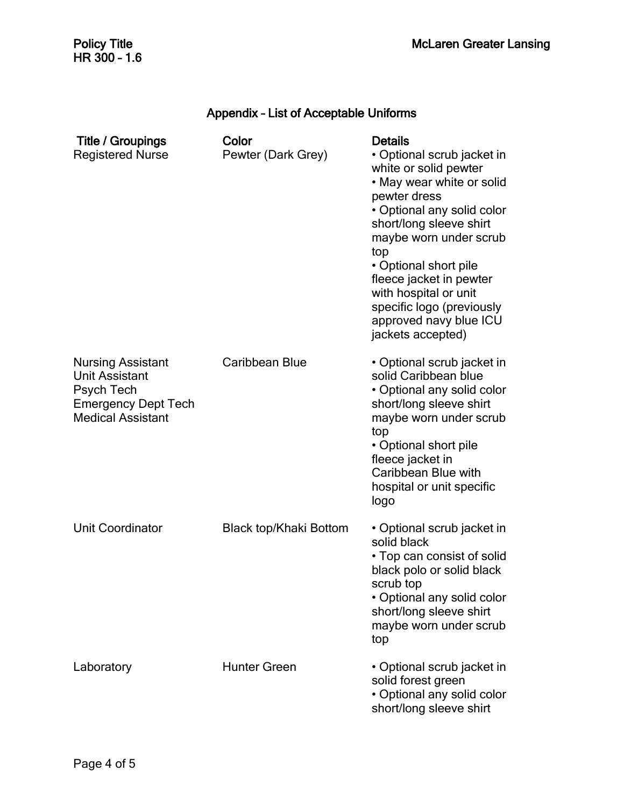### Appendix – List of Acceptable Uniforms

| <b>Title / Groupings</b><br><b>Registered Nurse</b>                                                                       | Color<br>Pewter (Dark Grey)   | <b>Details</b><br>• Optional scrub jacket in<br>white or solid pewter<br>• May wear white or solid<br>pewter dress<br>• Optional any solid color<br>short/long sleeve shirt<br>maybe worn under scrub<br>top<br>• Optional short pile<br>fleece jacket in pewter<br>with hospital or unit<br>specific logo (previously<br>approved navy blue ICU<br>jackets accepted) |
|---------------------------------------------------------------------------------------------------------------------------|-------------------------------|-----------------------------------------------------------------------------------------------------------------------------------------------------------------------------------------------------------------------------------------------------------------------------------------------------------------------------------------------------------------------|
| <b>Nursing Assistant</b><br><b>Unit Assistant</b><br>Psych Tech<br><b>Emergency Dept Tech</b><br><b>Medical Assistant</b> | Caribbean Blue                | • Optional scrub jacket in<br>solid Caribbean blue<br>• Optional any solid color<br>short/long sleeve shirt<br>maybe worn under scrub<br>top<br>• Optional short pile<br>fleece jacket in<br>Caribbean Blue with<br>hospital or unit specific<br>logo                                                                                                                 |
| <b>Unit Coordinator</b>                                                                                                   | <b>Black top/Khaki Bottom</b> | • Optional scrub jacket in<br>solid black<br>• Top can consist of solid<br>black polo or solid black<br>scrub top<br>• Optional any solid color<br>short/long sleeve shirt<br>maybe worn under scrub<br>top                                                                                                                                                           |
| Laboratory                                                                                                                | <b>Hunter Green</b>           | • Optional scrub jacket in<br>solid forest green<br>• Optional any solid color<br>short/long sleeve shirt                                                                                                                                                                                                                                                             |